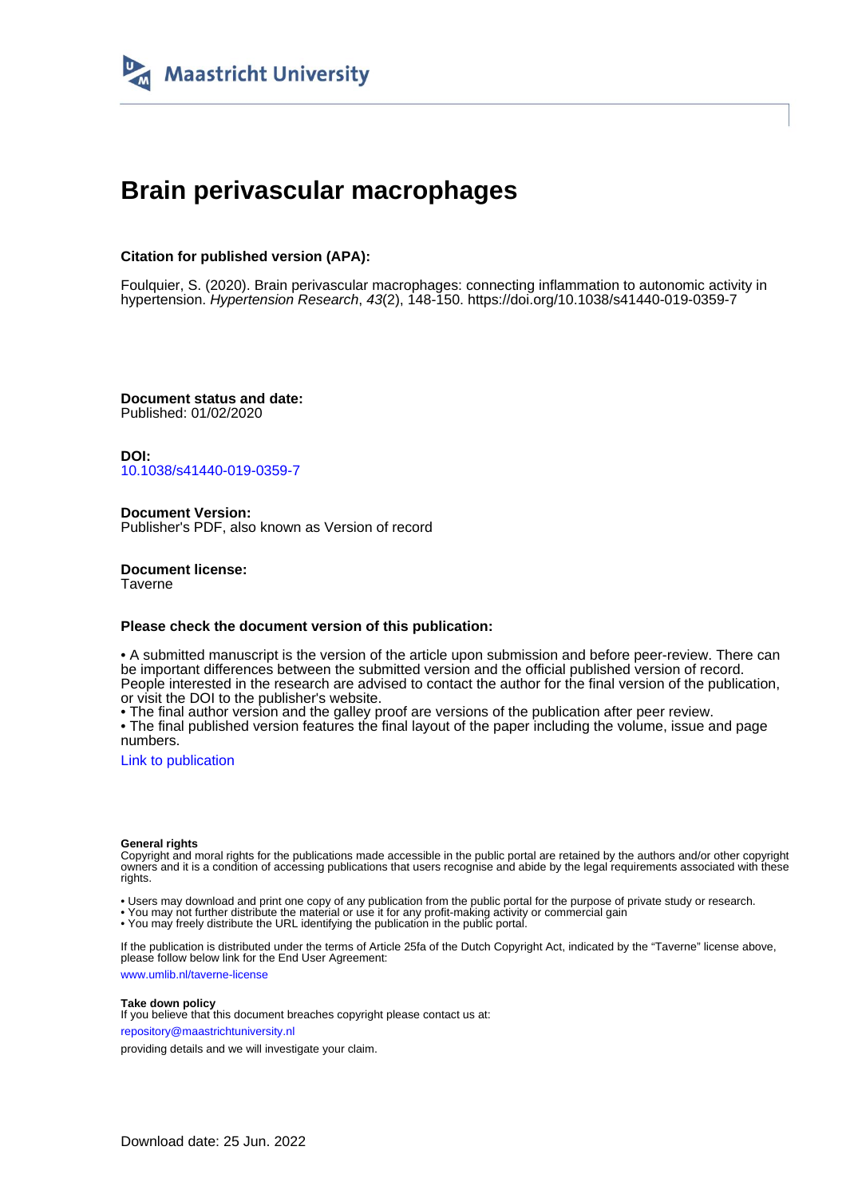

# **Brain perivascular macrophages**

## **Citation for published version (APA):**

Foulquier, S. (2020). Brain perivascular macrophages: connecting inflammation to autonomic activity in hypertension. Hypertension Research, 43(2), 148-150. <https://doi.org/10.1038/s41440-019-0359-7>

**Document status and date:** Published: 01/02/2020

**DOI:** [10.1038/s41440-019-0359-7](https://doi.org/10.1038/s41440-019-0359-7)

**Document Version:** Publisher's PDF, also known as Version of record

**Document license: Taverne** 

#### **Please check the document version of this publication:**

• A submitted manuscript is the version of the article upon submission and before peer-review. There can be important differences between the submitted version and the official published version of record. People interested in the research are advised to contact the author for the final version of the publication, or visit the DOI to the publisher's website.

• The final author version and the galley proof are versions of the publication after peer review.

• The final published version features the final layout of the paper including the volume, issue and page numbers.

[Link to publication](https://cris.maastrichtuniversity.nl/en/publications/43231fb6-7240-4ced-925d-caea19a2ca7d)

#### **General rights**

Copyright and moral rights for the publications made accessible in the public portal are retained by the authors and/or other copyright owners and it is a condition of accessing publications that users recognise and abide by the legal requirements associated with these rights.

• Users may download and print one copy of any publication from the public portal for the purpose of private study or research.

• You may not further distribute the material or use it for any profit-making activity or commercial gain

• You may freely distribute the URL identifying the publication in the public portal.

If the publication is distributed under the terms of Article 25fa of the Dutch Copyright Act, indicated by the "Taverne" license above, please follow below link for the End User Agreement:

www.umlib.nl/taverne-license

#### **Take down policy**

If you believe that this document breaches copyright please contact us at: repository@maastrichtuniversity.nl

providing details and we will investigate your claim.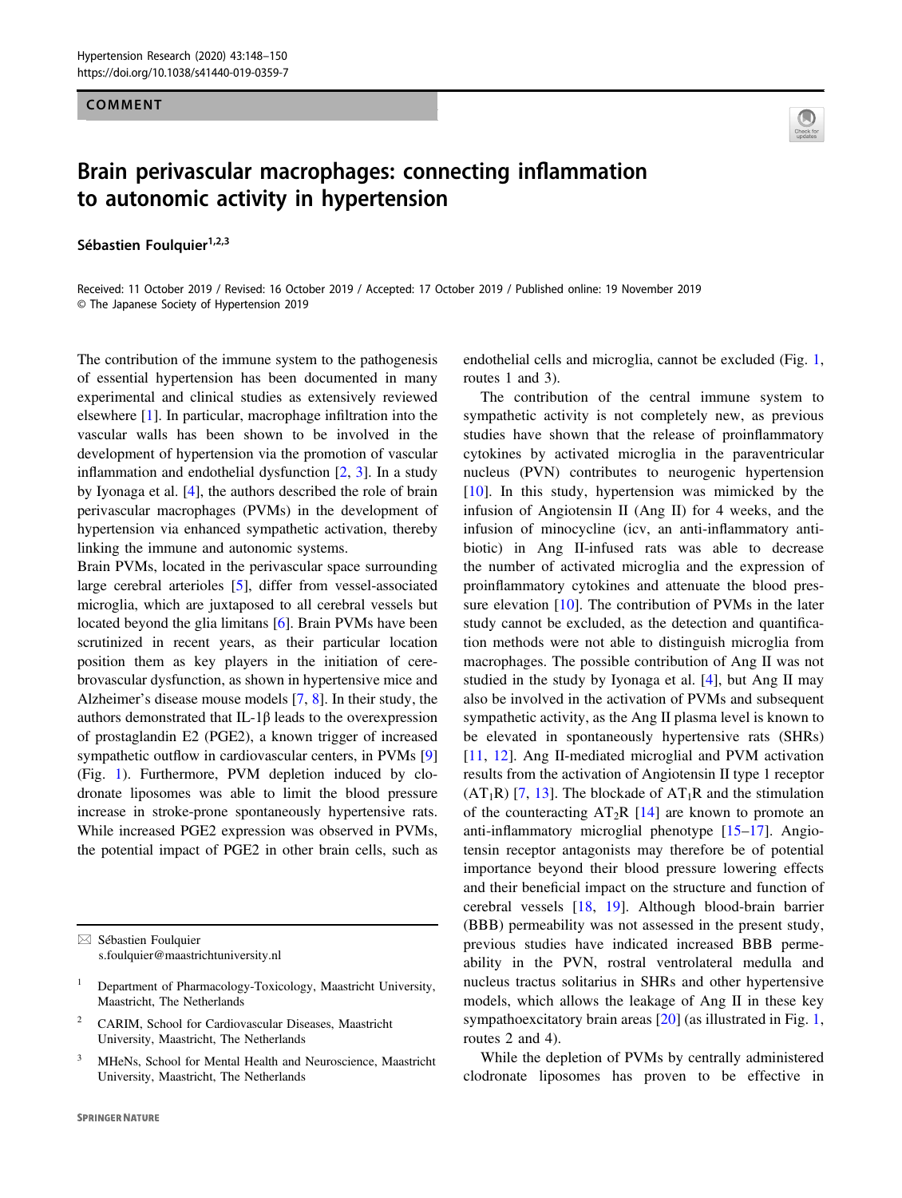#### COMMENT

# Brain perivascular macrophages: connecting inflammation to autonomic activity in hypertension

Sébastien Foulquier<sup>1,2,3</sup>



Received: 11 October 2019 / Revised: 16 October 2019 / Accepted: 17 October 2019 / Published online: 19 November 2019 © The Japanese Society of Hypertension 2019

The contribution of the immune system to the pathogenesis of essential hypertension has been documented in many experimental and clinical studies as extensively reviewed elsewhere [\[1](#page-2-0)]. In particular, macrophage infiltration into the vascular walls has been shown to be involved in the development of hypertension via the promotion of vascular inflammation and endothelial dysfunction [\[2](#page-2-0), [3\]](#page-2-0). In a study by Iyonaga et al. [[4\]](#page-2-0), the authors described the role of brain perivascular macrophages (PVMs) in the development of hypertension via enhanced sympathetic activation, thereby linking the immune and autonomic systems.

Brain PVMs, located in the perivascular space surrounding large cerebral arterioles [[5\]](#page-2-0), differ from vessel-associated microglia, which are juxtaposed to all cerebral vessels but located beyond the glia limitans [\[6](#page-2-0)]. Brain PVMs have been scrutinized in recent years, as their particular location position them as key players in the initiation of cerebrovascular dysfunction, as shown in hypertensive mice and Alzheimer's disease mouse models [[7,](#page-2-0) [8](#page-3-0)]. In their study, the authors demonstrated that IL-1β leads to the overexpression of prostaglandin E2 (PGE2), a known trigger of increased sympathetic outflow in cardiovascular centers, in PVMs [[9\]](#page-3-0) (Fig. [1\)](#page-2-0). Furthermore, PVM depletion induced by clodronate liposomes was able to limit the blood pressure increase in stroke-prone spontaneously hypertensive rats. While increased PGE2 expression was observed in PVMs, the potential impact of PGE2 in other brain cells, such as

- <sup>2</sup> CARIM, School for Cardiovascular Diseases, Maastricht University, Maastricht, The Netherlands
- <sup>3</sup> MHeNs, School for Mental Health and Neuroscience, Maastricht University, Maastricht, The Netherlands

endothelial cells and microglia, cannot be excluded (Fig. [1,](#page-2-0) routes 1 and 3).

The contribution of the central immune system to sympathetic activity is not completely new, as previous studies have shown that the release of proinflammatory cytokines by activated microglia in the paraventricular nucleus (PVN) contributes to neurogenic hypertension [\[10\]](#page-3-0). In this study, hypertension was mimicked by the infusion of Angiotensin II (Ang II) for 4 weeks, and the infusion of minocycline (icv, an anti-inflammatory antibiotic) in Ang II-infused rats was able to decrease the number of activated microglia and the expression of proinflammatory cytokines and attenuate the blood pressure elevation [\[10](#page-3-0)]. The contribution of PVMs in the later study cannot be excluded, as the detection and quantification methods were not able to distinguish microglia from macrophages. The possible contribution of Ang II was not studied in the study by Iyonaga et al. [\[4](#page-2-0)], but Ang II may also be involved in the activation of PVMs and subsequent sympathetic activity, as the Ang II plasma level is known to be elevated in spontaneously hypertensive rats (SHRs) [\[11,](#page-3-0) [12\]](#page-3-0). Ang II-mediated microglial and PVM activation results from the activation of Angiotensin II type 1 receptor  $(AT_1R)$  [\[7](#page-2-0), [13\]](#page-3-0). The blockade of  $AT_1R$  and the stimulation of the counteracting  $AT_2R$  [[14\]](#page-3-0) are known to promote an anti-inflammatory microglial phenotype [[15](#page-3-0)–[17\]](#page-3-0). Angiotensin receptor antagonists may therefore be of potential importance beyond their blood pressure lowering effects and their beneficial impact on the structure and function of cerebral vessels [\[18](#page-3-0), [19\]](#page-3-0). Although blood-brain barrier (BBB) permeability was not assessed in the present study, previous studies have indicated increased BBB permeability in the PVN, rostral ventrolateral medulla and nucleus tractus solitarius in SHRs and other hypertensive models, which allows the leakage of Ang II in these key sympathoexcitatory brain areas [\[20](#page-3-0)] (as illustrated in Fig. [1,](#page-2-0) routes 2 and 4).

While the depletion of PVMs by centrally administered clodronate liposomes has proven to be effective in

 $\boxtimes$  Sébastien Foulquier [s.foulquier@maastrichtuniversity.nl](mailto:s.foulquier@maastrichtuniversity.nl)

<sup>&</sup>lt;sup>1</sup> Department of Pharmacology-Toxicology, Maastricht University, Maastricht, The Netherlands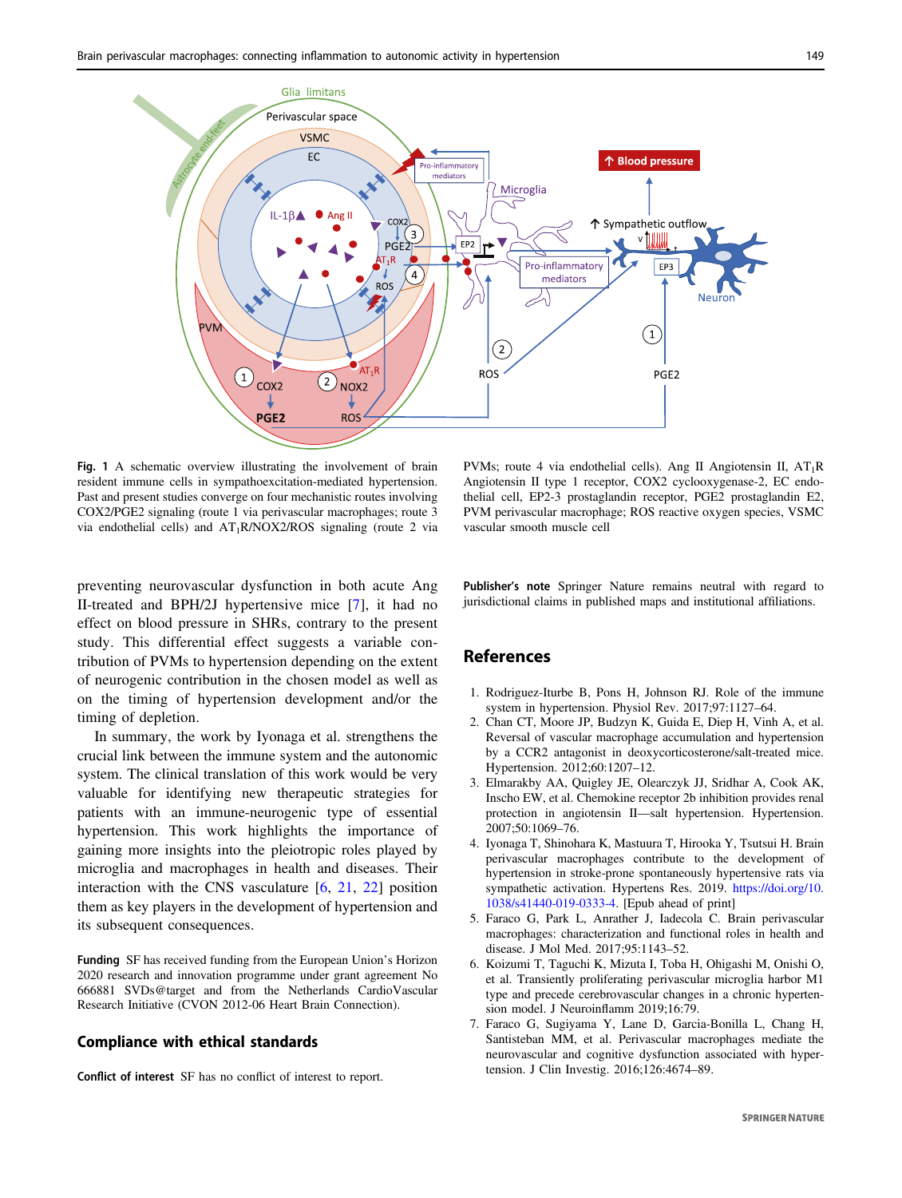<span id="page-2-0"></span>

Fig. 1 A schematic overview illustrating the involvement of brain resident immune cells in sympathoexcitation-mediated hypertension. Past and present studies converge on four mechanistic routes involving COX2/PGE2 signaling (route 1 via perivascular macrophages; route 3 via endothelial cells) and  $AT_1R/NOX2/ROS$  signaling (route 2 via

PVMs; route 4 via endothelial cells). Ang II Angiotensin II,  $AT_1R$ Angiotensin II type 1 receptor, COX2 cyclooxygenase-2, EC endothelial cell, EP2-3 prostaglandin receptor, PGE2 prostaglandin E2, PVM perivascular macrophage; ROS reactive oxygen species, VSMC vascular smooth muscle cell

preventing neurovascular dysfunction in both acute Ang II-treated and BPH/2J hypertensive mice [7], it had no effect on blood pressure in SHRs, contrary to the present study. This differential effect suggests a variable contribution of PVMs to hypertension depending on the extent of neurogenic contribution in the chosen model as well as on the timing of hypertension development and/or the timing of depletion.

In summary, the work by Iyonaga et al. strengthens the crucial link between the immune system and the autonomic system. The clinical translation of this work would be very valuable for identifying new therapeutic strategies for patients with an immune-neurogenic type of essential hypertension. This work highlights the importance of gaining more insights into the pleiotropic roles played by microglia and macrophages in health and diseases. Their interaction with the CNS vasculature [6, [21](#page-3-0), [22\]](#page-3-0) position them as key players in the development of hypertension and its subsequent consequences.

Funding SF has received funding from the European Union's Horizon 2020 research and innovation programme under grant agreement No 666881 SVDs@target and from the Netherlands CardioVascular Research Initiative (CVON 2012-06 Heart Brain Connection).

#### Compliance with ethical standards

Conflict of interest SF has no conflict of interest to report.

Publisher's note Springer Nature remains neutral with regard to jurisdictional claims in published maps and institutional affiliations.

### References

- 1. Rodriguez-Iturbe B, Pons H, Johnson RJ. Role of the immune system in hypertension. Physiol Rev. 2017;97:1127–64.
- 2. Chan CT, Moore JP, Budzyn K, Guida E, Diep H, Vinh A, et al. Reversal of vascular macrophage accumulation and hypertension by a CCR2 antagonist in deoxycorticosterone/salt-treated mice. Hypertension. 2012;60:1207–12.
- 3. Elmarakby AA, Quigley JE, Olearczyk JJ, Sridhar A, Cook AK, Inscho EW, et al. Chemokine receptor 2b inhibition provides renal protection in angiotensin II—salt hypertension. Hypertension. 2007;50:1069–76.
- 4. Iyonaga T, Shinohara K, Mastuura T, Hirooka Y, Tsutsui H. Brain perivascular macrophages contribute to the development of hypertension in stroke-prone spontaneously hypertensive rats via sympathetic activation. Hypertens Res. 2019. [https://doi.org/10.](https://doi.org/10.1038/s41440-019-0333-4) [1038/s41440-019-0333-4.](https://doi.org/10.1038/s41440-019-0333-4) [Epub ahead of print]
- 5. Faraco G, Park L, Anrather J, Iadecola C. Brain perivascular macrophages: characterization and functional roles in health and disease. J Mol Med. 2017;95:1143–52.
- 6. Koizumi T, Taguchi K, Mizuta I, Toba H, Ohigashi M, Onishi O, et al. Transiently proliferating perivascular microglia harbor M1 type and precede cerebrovascular changes in a chronic hypertension model. J Neuroinflamm 2019;16:79.
- 7. Faraco G, Sugiyama Y, Lane D, Garcia-Bonilla L, Chang H, Santisteban MM, et al. Perivascular macrophages mediate the neurovascular and cognitive dysfunction associated with hypertension. J Clin Investig. 2016;126:4674–89.